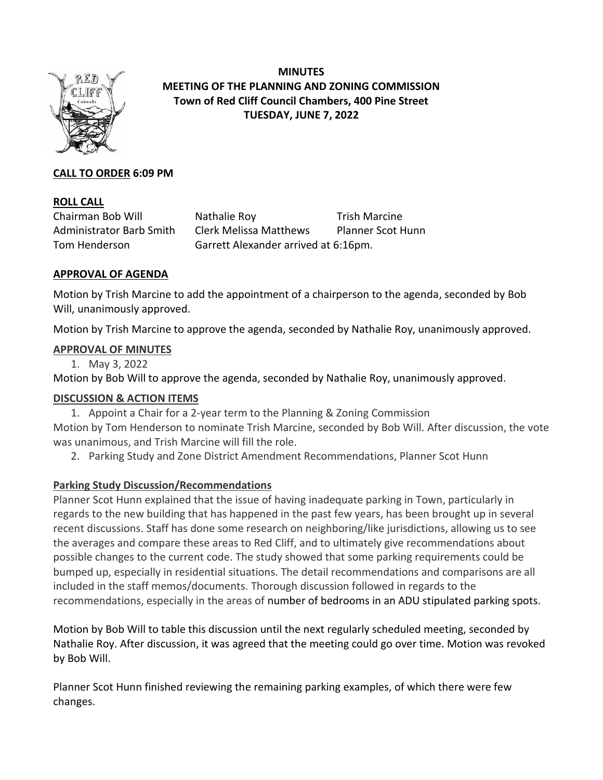

**MINUTES MEETING OF THE PLANNING AND ZONING COMMISSION Town of Red Cliff Council Chambers, 400 Pine Street TUESDAY, JUNE 7, 2022**

# **CALL TO ORDER 6:09 PM**

## **ROLL CALL**

Chairman Bob Will Nathalie Roy Trish Marcine Administrator Barb Smith Clerk Melissa Matthews Planner Scot Hunn Tom Henderson Garrett Alexander arrived at 6:16pm.

#### **APPROVAL OF AGENDA**

Motion by Trish Marcine to add the appointment of a chairperson to the agenda, seconded by Bob Will, unanimously approved.

Motion by Trish Marcine to approve the agenda, seconded by Nathalie Roy, unanimously approved.

## **APPROVAL OF MINUTES**

1. May 3, 2022

Motion by Bob Will to approve the agenda, seconded by Nathalie Roy, unanimously approved.

#### **DISCUSSION & ACTION ITEMS**

1. Appoint a Chair for a 2-year term to the Planning & Zoning Commission

Motion by Tom Henderson to nominate Trish Marcine, seconded by Bob Will. After discussion, the vote was unanimous, and Trish Marcine will fill the role.

2. Parking Study and Zone District Amendment Recommendations, Planner Scot Hunn

# **Parking Study Discussion/Recommendations**

Planner Scot Hunn explained that the issue of having inadequate parking in Town, particularly in regards to the new building that has happened in the past few years, has been brought up in several recent discussions. Staff has done some research on neighboring/like jurisdictions, allowing us to see the averages and compare these areas to Red Cliff, and to ultimately give recommendations about possible changes to the current code. The study showed that some parking requirements could be bumped up, especially in residential situations. The detail recommendations and comparisons are all included in the staff memos/documents. Thorough discussion followed in regards to the recommendations, especially in the areas of number of bedrooms in an ADU stipulated parking spots.

Motion by Bob Will to table this discussion until the next regularly scheduled meeting, seconded by Nathalie Roy. After discussion, it was agreed that the meeting could go over time. Motion was revoked by Bob Will.

Planner Scot Hunn finished reviewing the remaining parking examples, of which there were few changes.